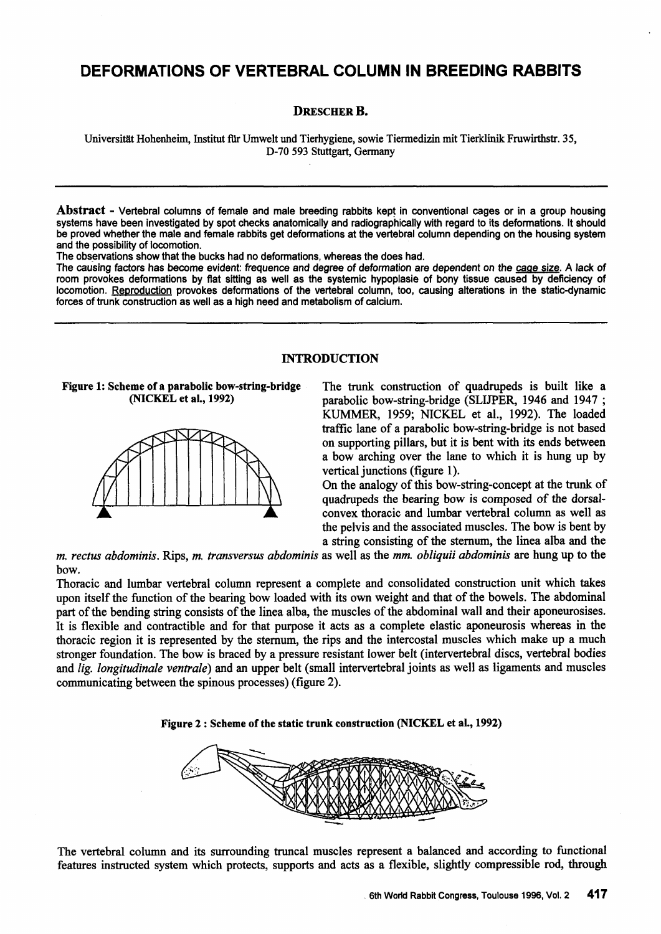# **DEFORMATIONS OF VERTEBRAL COLUMN IN BREEDING RABBITS**

## DRESCHER B.

Universität Hohenheim, Institut für Umwelt und Tierhygiene, sowie Tiermedizin mit Tierklinik Fruwirthstr. 35, D-70 593 Stuttgart, Germany

Abstract - Vertebral columns of female and male breeding rabbits kept in conventional cages or in a group housing systems have been investigated by spot checks anatomically and radiographically with regard to its deformations. lt should be proved whether the male and female rabbits get deformations at the vertebral column depending on the housing system and the possibility of locomotion.

The observations show that the bucks had no deformations, whereas the does had.

The causing factors has become evident: frequence and degree of deformation are dependent on the cage size. A lack of room provokes deformations by flat sitting as well as the systemic hypoplasie of bony tissue caused by deficiency of locomotion. Reproduction provokes deformations of the vertebral column, too, causing alterations in the static-dynamic torces of trunk construction as well as a high need and metabolism of calcium.

### INTRODUCTION

Figure 1: Scbeme of a parabolic bow-string-bridge (NICKEL et al., 1992)



The trunk construction of quadrupeds is built like a parabolic bow-string-bridge (SLIJPER, 1946 and 1947 ; KUMMER, 1959; NICKEL et al., 1992). The loaded traffic lane of a parabolic bow-string-bridge is not based on supporting pillars, but it is bent with its ends between a bow arching over the lane to which it is hung up by vertical junctions (figure 1).

On the analogy of this bow-string-concept at the trunk of quadrupeds the bearing bow is composed of the dorsalconvex thoracic and lumbar vertebral column as well as the pelvis and the associated muscles. The bow is bent by a string consisting of the stemum, the linea alba and the

*m. rectus abdominis.* Rips, *m. transversus abdominis* as well as the *mm. obliquii abdominis* are hung up to the bow.

Thoracic and lumbar vertebral column represent a complete and consolidated construction unit which takes upon itself the function of the bearing bow loaded with its own weight and that of the bowels. The abdominal part of the bending string consists of the linea alba, the muscles of the abdominal wall and their aponeurosises. lt is flexible and contractible and for that purpose it acts as a complete elastic aponeurosis whereas in the thoracic region it is represented by the stemum, the rips and the intercostal muscles which make up a much stronger foundation. The bow is braced by a pressure resistant lower belt (intervertebral discs, vertebral bodies and *lig. longitudinale ventrale*) and an upper belt (small intervertebral joints as well as ligaments and muscles communicating between the spinous processes) (figure 2).





The vertebral column and its surrounding truncal muscles represent a balanced and according to functional features instructed system which protects, supports and acts as a flexible, slightly compressible rod, through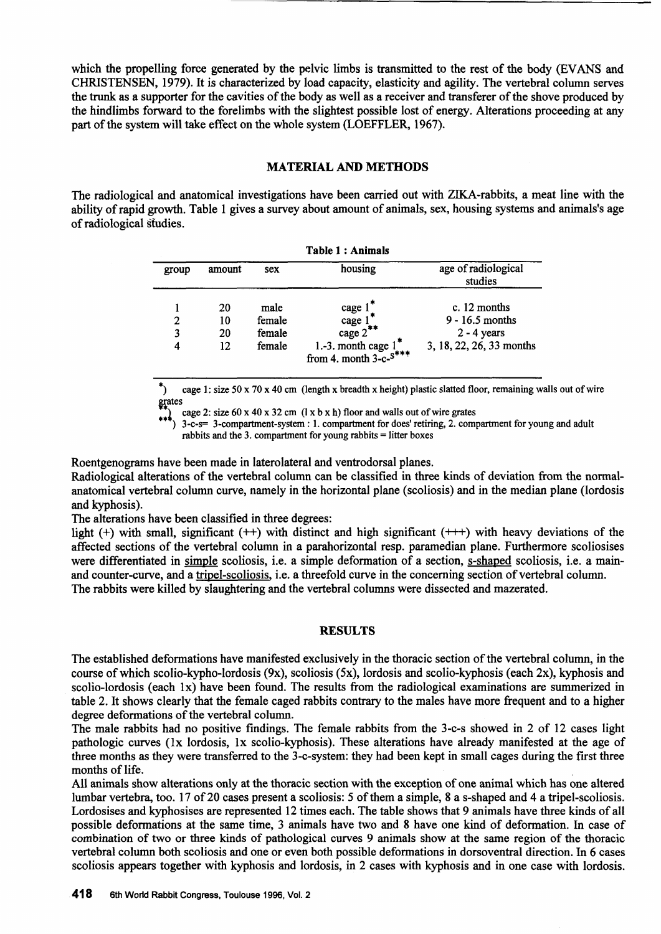which the propelling force generated by the pelvic limbs is transmitted to the rest of the body (EVANS and CHRISTENSEN, 1979). lt is characterized by load capacity, elasticity and agility. The vertebral column serves the trunk as a supporter for the cavities of the body as well as a receiver and transferer of the shove produced by the hindlimbs forward to the forelimbs with the slightest possible lost of energy. Alterations proceeding at any part of the system will take effect on the whole system (LOEFFLER, 1967).

# MATERIAL AND MEffiODS

The radiological and anatomical investigations have been carried out with ZIKA-rabbits, a meat line with the ability of rapid growth. Table 1 gives a survey about amount of animals, sex, housing systems and animals's age ofradiological sfudies.

| <b>Table 1: Animals</b> |                      |                                    |                                                                                                         |                                                                                  |  |  |  |  |  |  |
|-------------------------|----------------------|------------------------------------|---------------------------------------------------------------------------------------------------------|----------------------------------------------------------------------------------|--|--|--|--|--|--|
| group                   | amount<br>sex        |                                    | housing                                                                                                 | age of radiological<br>studies                                                   |  |  |  |  |  |  |
| 2<br>3<br>4             | 20<br>10<br>20<br>12 | male<br>female<br>female<br>female | cage $1$ <sup>*</sup><br>cage 1<br>cage $2^*$<br>1.-3. month cage $1^*$<br>from 4. month 3-c- $s^{***}$ | c. $12$ months<br>$9 - 16.5$ months<br>$2 - 4$ years<br>3, 18, 22, 26, 33 months |  |  |  |  |  |  |

\*) cage 1: size 50 x 70 x 40 cm (length x breadth x height) plastic slatted floor, remaining walls out of wire grates

cage 2: size 60 x 40 x 32 cm ( $1 \times b \times h$ ) floor and walls out of wire grates

•• ) 3-c-s= 3-compartment-system : l. compartment for does' retiring, 2. compartment for young and adult rabbits and the 3. compartment for young rabbits = litter boxes

Roentgenograms have been made in laterolateral and ventrodorsal planes.

Radiological alterations of the vertebral column can be classified in three kinds of deviation from the normalanatomical vertebral column curve, namely in the horizontal plane (scoliosis) and in the median plane (lordosis and kyphosis).

The alterations have been classified in three degrees:

light (+) with small, significant ( $++$ ) with distinct and high significant ( $+++$ ) with heavy deviations of the affected sections of the vertebral column in a parahorizontal resp. paramedian plane. Furthermore scoliosises were differentiated in simple scoliosis, i.e. a simple deformation of a section, s-shaped scoliosis, i.e. a mainand counter-curve, and a tripel-scoliosis, i.e. a threefold curve in the concerning section of vertebral column. The rabbits were killed by slaughtering and the vertebral columns were dissected and mazerated.

## **RESULTS**

The established deformations have manifested exclusively in the thoracic section ofthe vertebral column, in the course of which scolio-kypho-lordosis (9x), scoliosis (5x), lordosis and scolio-kyphosis (each 2x), kyphosis and scolio-lordosis (each 1x) have been found. The results from the radiological examinations are summerized in table 2. It shows clearly that the female caged rabbits contrary to the males have more frequent and to a higher degree deformations of the vertebral column.

The male rabbits had no positive findings. The female rabbits from the 3-c-s showed in 2 of 12 cases light pathologic curves (lx lordosis, lx scolio-kyphosis). These alterations have already manifested at the age of three months as they were transferred to the 3-c-system: they had been kept in small cages during the first three months of life.

All animals show alterations only at the thoracic section with the exception of one animal which has one altered lumbar vertebra, too. 17 of20 cases presenta scoliosis: *5* ofthem a simple, 8 a s-shaped and 4 a tripel-scoliosis. Lordosises and kyphosises are represented 12 times each. The table shows that 9 animals have three kinds of all possible deformations at the same time, 3 animals have two and 8 have one kind of deformation. In case of combination of two or three kinds of pathological curves 9 animals show at the same region of the thoracic vertebral column both scoliosis and one or even both possible deformations in dorsoventral direction. In 6 cases scoliosis appears together with kyphosis and lordosis, in 2 cases with kyphosis and in one case with lordosis.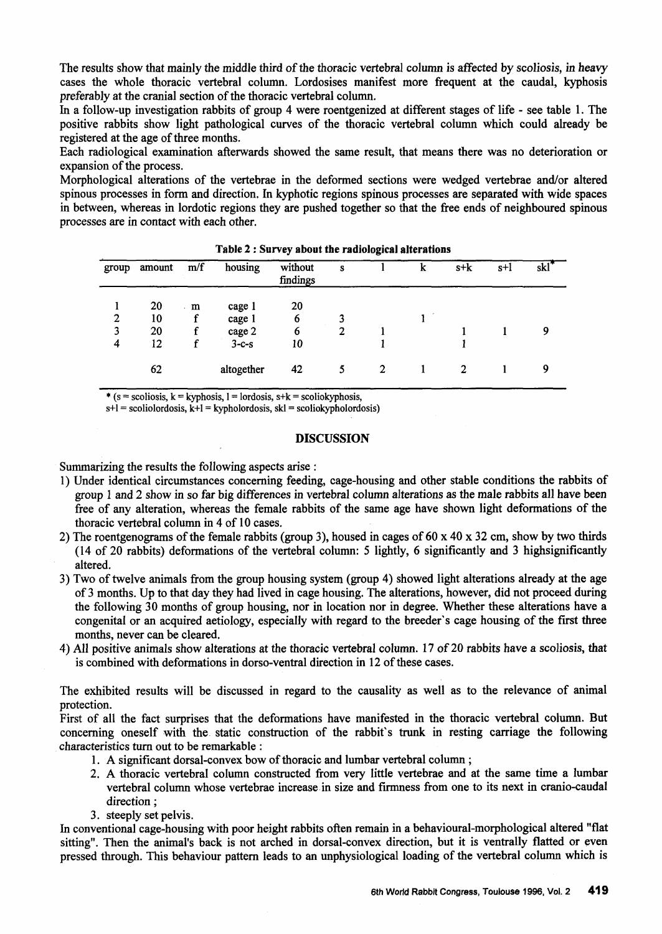The results show that mainly the middle third of the thoracic vertebral column is affected by scoliosis, in heavy cases the whole thoracic vertebral column. Lordosises manifest more frequent at the caudal, kyphosis preferably at the cranial section of the thoracic vertebral column.

In a follow-up investigation rabbits of group 4 were roentgenized at different stages of life - see table l. The positive rabbits show light pathological curves of the thoracic vertebral column which could already be registered at the age of three months.

Each radiological examination afterwards showed the same result, that means there was no deterioration or expansion of the process.

Morphological alterations of the vertebrae in the deformed sections were wedged vertebrae and/or altered spinous processes in form and direction. In kyphotic regions spinous processes are separated with wide spaces in between, whereas in lordotic regions they are pushed together so that the free ends of neighboured spinous processes are in contact with each other.

| group | amount | m/f         | housing    | without<br>findings | S |   | k | $s+k$ | $s+1$ | $skl^*$ |
|-------|--------|-------------|------------|---------------------|---|---|---|-------|-------|---------|
|       | 20     | m<br>$\sim$ | cage 1     | 20                  |   |   |   |       |       |         |
| 2     | 10     |             | cage 1     | 6                   |   |   |   |       |       |         |
| 3     | 20     |             | cage 2     | 6                   |   |   |   |       |       | 9       |
| 4     | 12     |             | $3-c-s$    | 10                  |   |   |   |       |       |         |
|       | 62     |             | altogether | 42                  |   | 2 |   | 2     |       | 9       |

Table *2* : Survey about the radiological alterations

\* (s = scoliosis, k = kyphosis, 1 = lordosis, s+k = scoliokyphosis,

 $s+1$  = scoliolordosis,  $k+1$  = kypholordosis,  $sk1$  = scoliokypholordosis)

## DISCUSSION

Summarizing the results the following aspects arise :

- 1) Under identical circumstances conceming feeding, cage-housing and other stable conditions the rabbits of group 1 and 2 show in so far big differences in vertebral column alterations as the male rabbits all have been free of any alteration, whereas the female rabbits of the same age have shown light deformations of the thoracic vertebral column in 4 of 10 cases.
- 2) The roentgenograms of the female rabbits (group 3), housed in cages of 60 x 40 x 32 cm, show by two thirds (14 of 20 rabbits) deformations of the vertebral column: 5 lightly, 6 significantly and 3 highsignificantly altered.
- 3) Two of twelve animals from the group housing system (group 4) showed light alterations already at the age of 3 months. Up to that day they had lived in cage housing. The alterations, however, did not proceed during the following 30 months of group housing, nor in location nor in degree. Whether these alterations have a congenital or an acquired aetiology, especially with regard to the breeder's cage housing of the first three months, never can be cleared.
- 4) All positive animals show alterations at the thoracic vertebral column. 17 of 20 rabbits have a scoliosis, that is combined with deformations in dorso-ventral direction in 12 of these cases.

The exhibited results will be discussed in regard to the causality as well as to the relevance of animal protection.

First of all the fact surprises that the deformations have manifested in the thoracic vertebral column. But concerning oneself with the static construction of the rabbit's trunk in resting carriage the following . characteristics tum out to be remarkable :

- l. A significant dorsal-convex bow of thoracic and lumbar vertebral column ;
- 2. A thoracic vertebral colurnn constructed from very little vertebrae and at the same time a lumbar vertebral column whose vertebrae increase.in size and firmness from one to its next in cranio-caudal direction;
- 3. steeply set pelvis.

In conventional cage-housing with poor height rabbits often remain in a behavioural-morphological altered "flat sitting". Then the animal's back is not arched in dorsal-convex direction, but it is ventrally flatted or even pressed through. This behaviour pattem leads to an unphysiological loading of the vertebral column which is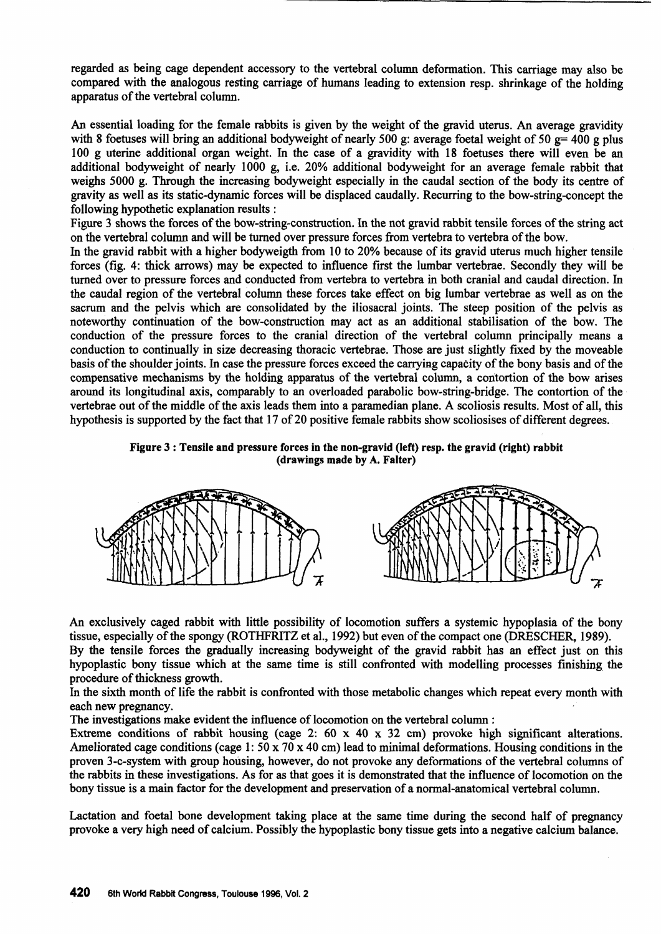regarded as being cage dependent accessory to the vertebral column deformation. This carriage may also be compared with the analogous resting carriage of humans leading to extension resp. shrinkage of the holding apparatus of the vertebral column.

An essential loading for the female rabbits is given by the weight of the gravid uterus. An average gravidity with 8 foetuses will bring an additional bodyweight of nearly 500 g: average foetal weight of 50 g= 400 g plus 100 g uterine additional organ weight. In the case of a gravidity with 18 foetuses there will even be an additional bodyweight of nearly 1000 g, i.e. 20% additional bodyweight for an average female rabbit that weighs 5000 g. Through the increasing bodyweight especially in the caudal section of the body its centre of gravity as well as its static-dynamic forces will be displaced caudally. Recurring to the bow-string-concept the following hypothetic explanation results :

Figure 3 shows the forces of the bow-string-construction. In the not gravid rabbit tensile forces of the string act on the vertebral column and will be turned over pressure forces from vertebra to vertebra ofthe bow.

In the gravid rabbit with a higher bodyweigth from 10 to 20% because of its gravid uterus much higher tensile forces (fig. 4: thick arrows) may be expected to influence first the lumbar vertebrae. Secondly they will be turned over to pressure forces and conducted from vertebra to vertebra in both cranial and caudal direction. In the caudal region of the vertebral column these forces take effect on big lumbar vertebrae as well as on the sacrum and the pelvis which are consolidated by the iliosacral joints. The steep position of the pelvis as noteworthy continuation of the bow-construction may act as an additional stabilisation of the bow. The conduction of the pressure forces to the cranial direction of the vertebral column principally means a conduction to continually in size decreasing thoracic vertebrae. Those are just slightly fixed by the moveable basis of the shoulder joints. In case the pressure forces exceed the carrying capacity of the bony basis and of the compensative mechanisms by the holding apparatus of the vertebral column, a contortion of the bow arises around its longitudinal axis, comparably to an overloaded parabolic bow-string-bridge. The contortion of the vertebrae out of the middle of the axis leads them into a paramedian plane. A scoliosis results. Most of all, this hypothesis is supported by the fact that 17 of 20 positive female rabbits show scoliosises of different degrees.





An exclusively caged rabbit with little possibility of locomotion suffers a systemic hypoplasia of the bony tissue, especially of the spongy (ROTHFRITZ et al., 1992) but even of the compact one (DRESCHER, 1989). By the tensile forces the gradually increasing bodyweight of the gravid rabbit has an effect just on this

hypoplastic bony tissue which at the same time is still confronted with modelling processes finishing the procedure of thickness growth.

In the sixth month of life the rabbit is confronted with those metabolic changes which repeat every month with each new pregnancy.

The investigations make evident the influence of locomotion on the vertebral column :

Extreme conditions of rabbit housing (cage 2:  $60 \times 40 \times 32$  cm) provoke high significant alterations. Ameliorated cage conditions (cage 1:  $50 \times 70 \times 40$  cm) lead to minimal deformations. Housing conditions in the proven 3-c-system with group hoúsing, however, do not provoke any deformations of the vertebral columns of the rabbits in these investigations. As for as that goes it is demonstrated that the influence of locomotion on the bony tissue is a main factor for the development and preservation of a normal-anatomical vertebral column.

Lactation and foetal bone development taking place at the same time during the second half of pregnancy provoke a very high need of calcium. Possibly the hypoplastic bony tissue gets into a negative calcium balance.